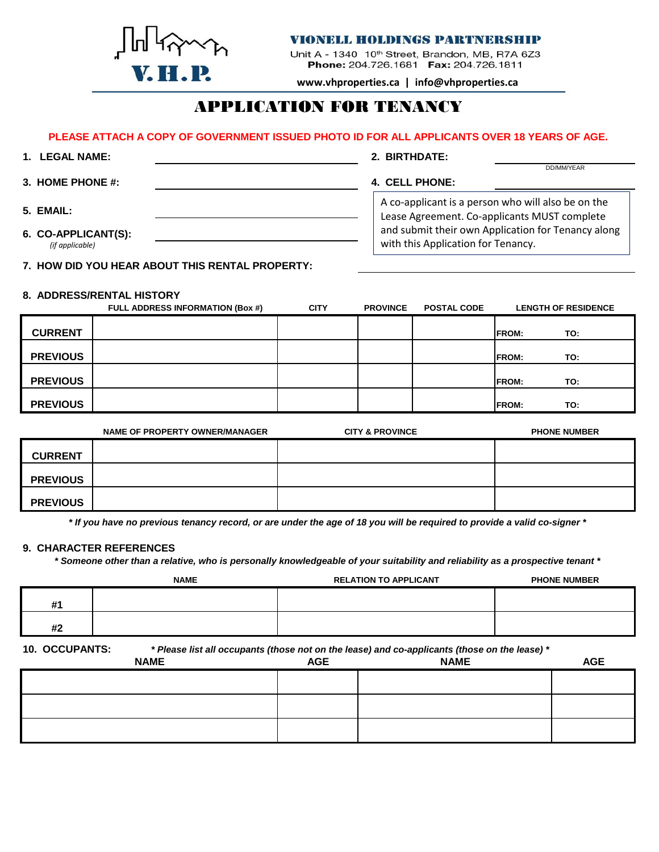

## **VIONELL HOLDINGS PARTNERSHIP**

Unit A - 1340 10<sup>th</sup> Street, Brandon, MB, R7A 6Z3 Phone: 204.726.1681 Fax: 204.726.1811

**www.vhproperties.ca | info@vhproperties.ca**

# APPLICATION FOR TENANCY

## **PLEASE ATTACH A COPY OF GOVERNMENT ISSUED PHOTO ID FOR ALL APPLICANTS OVER 18 YEARS OF AGE.**

| 1. LEGAL NAME:                         | 2. BIRTHDATE:                                                                                      |
|----------------------------------------|----------------------------------------------------------------------------------------------------|
| 3. HOME PHONE #:                       | DD/MM/YEAR<br>4. CELL PHONE:                                                                       |
| 5. EMAIL:                              | A co-applicant is a person who will also be on the<br>Lease Agreement. Co-applicants MUST complete |
| 6. CO-APPLICANT(S):<br>(if applicable) | and submit their own Application for Tenancy along<br>with this Application for Tenancy.           |

**7. HOW DID YOU HEAR ABOUT THIS RENTAL PROPERTY:**

## **8. ADDRESS/RENTAL HISTORY**

|                 | <b>FULL ADDRESS INFORMATION (Box #)</b> | <b>CITY</b> | <b>PROVINCE</b> | <b>POSTAL CODE</b> | <b>LENGTH OF RESIDENCE</b> |
|-----------------|-----------------------------------------|-------------|-----------------|--------------------|----------------------------|
| <b>CURRENT</b>  |                                         |             |                 |                    | <b>IFROM:</b><br>TO:       |
| <b>PREVIOUS</b> |                                         |             |                 |                    | <b>IFROM:</b><br>TO:       |
| <b>PREVIOUS</b> |                                         |             |                 |                    | <b>IFROM:</b><br>TO:       |
| <b>PREVIOUS</b> |                                         |             |                 |                    | <b>IFROM:</b><br>TO:       |

|                 | NAME OF PROPERTY OWNER/MANAGER | <b>CITY &amp; PROVINCE</b> | <b>PHONE NUMBER</b> |
|-----------------|--------------------------------|----------------------------|---------------------|
| <b>CURRENT</b>  |                                |                            |                     |
| <b>PREVIOUS</b> |                                |                            |                     |
| <b>PREVIOUS</b> |                                |                            |                     |

*\* If you have no previous tenancy record, or are under the age of 18 you will be required to provide a valid co-signer \**

#### **9. CHARACTER REFERENCES**

*\* Someone other than a relative, who is personally knowledgeable of your suitability and reliability as a prospective tenant \**

|                                                                                                                                                                                                                                                                                                                                                                                      | <b>NAME</b> | <b>RELATION TO APPLICANT</b> | <b>PHONE NUMBER</b> |
|--------------------------------------------------------------------------------------------------------------------------------------------------------------------------------------------------------------------------------------------------------------------------------------------------------------------------------------------------------------------------------------|-------------|------------------------------|---------------------|
| #1                                                                                                                                                                                                                                                                                                                                                                                   |             |                              |                     |
| #2                                                                                                                                                                                                                                                                                                                                                                                   |             |                              |                     |
| $\overline{A}$ $\overline{A}$ $\overline{A}$ $\overline{A}$ $\overline{A}$ $\overline{A}$ $\overline{A}$ $\overline{A}$ $\overline{A}$ $\overline{A}$ $\overline{A}$ $\overline{A}$ $\overline{A}$ $\overline{A}$ $\overline{A}$ $\overline{A}$ $\overline{A}$ $\overline{A}$ $\overline{A}$ $\overline{A}$ $\overline{A}$ $\overline{A}$ $\overline{A}$ $\overline{A}$ $\overline{$ |             |                              |                     |

**10. OCCUPANTS:** *\* Please list all occupants (those not on the lease) and co-applicants (those on the lease) \**

| <b>NAME</b> | <b>AGE</b> | . The contract of the contract of the contract of the contract of the contract of the contract of $\mathcal{L}$<br><b>NAME</b> | <b>AGE</b> |
|-------------|------------|--------------------------------------------------------------------------------------------------------------------------------|------------|
|             |            |                                                                                                                                |            |
|             |            |                                                                                                                                |            |
|             |            |                                                                                                                                |            |
|             |            |                                                                                                                                |            |
|             |            |                                                                                                                                |            |
|             |            |                                                                                                                                |            |